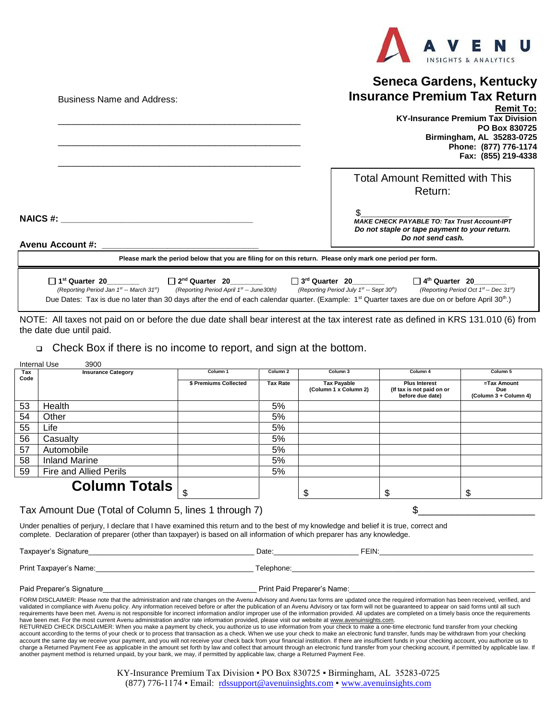

## **Seneca Gardens, Kentucky Insurance Premium Tax Return**

|                                                                                                            | <b>Remit To:</b><br><b>KY-Insurance Premium Tax Division</b><br>PO Box 830725<br>Birmingham, AL 35283-0725<br>Phone: (877) 776-1174<br>Fax: (855) 219-4338 |
|------------------------------------------------------------------------------------------------------------|------------------------------------------------------------------------------------------------------------------------------------------------------------|
|                                                                                                            | <b>Total Amount Remitted with This</b><br>Return:                                                                                                          |
| <b>NAICS #:</b><br><b>Avenu Account #:</b>                                                                 | ደ<br><b>MAKE CHECK PAYABLE TO: Tax Trust Account-IPT</b><br>Do not staple or tape payment to your return.<br>Do not send cash.                             |
| Please mark the period below that you are filing for on this return. Please only mark one period per form. |                                                                                                                                                            |
|                                                                                                            |                                                                                                                                                            |

 **1 st Quarter 20\_\_\_\_\_\_\_\_****2** □ 2<sup>nd</sup> Quarter 20 □ 3<sup>rd</sup> Quarter 20 **th Quarter 20\_\_\_\_\_\_\_\_** *(Reporting Period Jan 1st (Reporting Period April 1<sup>st</sup> -- June30th) (Reporting Period July 1<sup>st</sup> -- Sept 30<sup>th</sup>) -- Sept 30th) (Reporting Period Oct 1st -- Dec 31st)* Due Dates: Tax is due no later than 30 days after the end of each calendar quarter. (Example: 1<sup>st</sup> Quarter taxes are due on or before April 30<sup>th</sup>.)

NOTE: All taxes not paid on or before the due date shall bear interest at the tax interest rate as defined in KRS 131.010 (6) from the date due until paid.

## ❑ Check Box if there is no income to report, and sign at the bottom.

| Internal Use<br>3900 |                           |                       |                     |                                             |                                                                       |                                             |  |
|----------------------|---------------------------|-----------------------|---------------------|---------------------------------------------|-----------------------------------------------------------------------|---------------------------------------------|--|
| Tax                  | <b>Insurance Category</b> | Column <sub>1</sub>   | Column <sub>2</sub> | Column <sub>3</sub>                         | Column 4                                                              | Column 5                                    |  |
| Code                 |                           | \$ Premiums Collected | <b>Tax Rate</b>     | <b>Tax Payable</b><br>(Column 1 x Column 2) | <b>Plus Interest</b><br>(If tax is not paid on or<br>before due date) | =Tax Amount<br>Due<br>(Column 3 + Column 4) |  |
| 53                   | Health                    |                       | 5%                  |                                             |                                                                       |                                             |  |
| 54                   | Other                     |                       | 5%                  |                                             |                                                                       |                                             |  |
| 55                   | Life                      |                       | 5%                  |                                             |                                                                       |                                             |  |
| 56                   | Casualty                  |                       | 5%                  |                                             |                                                                       |                                             |  |
| 57                   | Automobile                |                       | 5%                  |                                             |                                                                       |                                             |  |
| 58                   | <b>Inland Marine</b>      |                       | 5%                  |                                             |                                                                       |                                             |  |
| 59                   | Fire and Allied Perils    |                       | 5%                  |                                             |                                                                       |                                             |  |
|                      | <b>Column Totals</b>      |                       |                     |                                             | S                                                                     | \$                                          |  |

## Tax Amount Due (Total of Column 5, lines 1 through 7)  $\$

Business Name and Address:

Under penalties of perjury, I declare that I have examined this return and to the best of my knowledge and belief it is true, correct and complete. Declaration of preparer (other than taxpayer) is based on all information of which preparer has any knowledge.

Taxpayer's Signature\_\_\_\_\_\_\_\_\_\_\_\_\_\_\_\_\_\_\_\_\_\_\_\_\_\_\_\_\_\_\_\_\_\_\_\_\_\_\_\_\_ Date:\_\_\_\_\_\_\_\_\_\_\_\_\_\_\_\_\_\_\_\_\_ FEIN:\_\_\_\_\_\_\_\_\_\_\_\_\_\_\_\_\_\_\_\_\_\_\_\_\_\_\_\_\_\_\_\_\_\_\_\_\_\_

Print Taxpayer's Name:\_\_\_\_\_\_\_\_\_\_\_\_\_\_\_\_\_\_\_\_\_\_\_\_\_\_\_\_\_\_\_\_\_\_\_\_\_\_\_ Telephone:\_\_\_\_\_\_\_\_\_\_\_\_\_\_\_\_\_\_\_\_\_\_\_\_\_\_\_\_\_\_\_\_\_\_\_\_\_\_\_\_\_\_\_\_\_\_\_\_\_\_\_\_\_\_\_\_\_\_\_\_

Paid Preparer's Signature et al. Allege and the paid Preparer's Name:

FORM DISCLAIMER: Please note that the administration and rate changes on the Avenu Advisory and Avenu tax forms are updated once the required information has been received, verified, and validated in compliance with Avenu policy. Any information received before or after the publication of an Avenu Advisory or tax form will not be quaranteed to appear on said forms until all such requirements have been met. Avenu is not responsible for incorrect information and/or improper use of the information provided. All updates are completed on a timely basis once the requirements have been met. For the most current Avenu administration and/or rate information provided, please visit our website at www.avenuinsights.com.

RETURNED CHECK DISCLAIMER: When you make a payment by check, you authorize us to use information from your check to make a one-time electronic fund transfer from your checking account according to the terms of your check or to process that transaction as a check. When we use your check to make an electronic fund transfer, funds may be withdrawn from your checking account the same day we receive your payment, and you will not receive your check back from your financial institution. If there are insufficient funds in your checking account, you authorize us to charge a Returned Payment Fee as applicable in the amount set forth by law and collect that amount through an electronic fund transfer from your checking account, if permitted by applicable law. If another payment method is returned unpaid, by your bank, we may, if permitted by applicable law, charge a Returned Payment Fee.